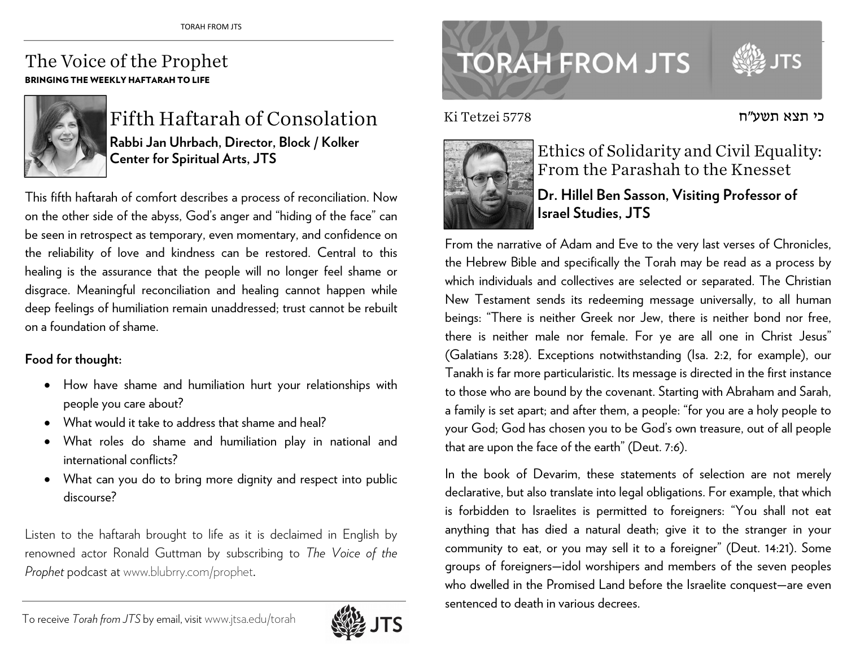## The Voice of the Prophet BRINGING THE WEEKLY HAFTARAH TO LIFE



Fifth Haftarah of Consolation **Rabbi Jan Uhrbach, Director, Block / Kolker Center for Spiritual Arts, JTS** 

This fifth haftarah of comfort describes a process of reconciliation. Now on the other side of the abyss, God's anger and "hiding of the face" can be seen in retrospect as temporary, even momentary, and confidence on the reliability of love and kindness can be restored. Central to this healing is the assurance that the people will no longer feel shame or disgrace. Meaningful reconciliation and healing cannot happen while deep feelings of humiliation remain unaddressed; trust cannot be rebuilt on a foundation of shame.

## **Food for thought:**

- How have shame and humiliation hurt your relationships with people you care about?
- What would it take to address that shame and heal?
- . What roles do shame and humiliation play in national and international conflicts?
- What can you do to bring more dignity and respect into public discourse?

Listen to the haftarah brought to life as it is declaimed in English by renowned actor Ronald Guttman by subscribing to *The Voice of the Prophet* podcast at www.blubrry.com/prophet.



## **TORAH FROM JTS**

כי תצא תשע"ח

Ki Tetzei 5778



Ethics of Solidarity and Civil Equality: From the Parashah to the Knesset

**Dr. Hillel Ben Sasson, Visiting Professor of Israel Studies, JTS** 

From the narrative of Adam and Eve to the very last verses of Chronicles, the Hebrew Bible and specifically the Torah may be read as a process by which individuals and collectives are selected or separated. The Christian New Testament sends its redeeming message universally, to all human beings: "There is neither Greek nor Jew, there is neither bond nor free, there is neither male nor female. For ye are all one in Christ Jesus" (Galatians 3:28). Exceptions notwithstanding (Isa. 2:2, for example), our Tanakh is far more particularistic. Its message is directed in the first instance to those who are bound by the covenant. Starting with Abraham and Sarah, a family is set apart; and after them, a people: "for you are a holy people to your God; God has chosen you to be God's own treasure, out of all people that are upon the face of the earth" (Deut. 7:6).

In the book of Devarim, these statements of selection are not merely declarative, but also translate into legal obligations. For example, that which is forbidden to Israelites is permitted to foreigners: "You shall not eat anything that has died a natural death; give it to the stranger in your community to eat, or you may sell it to a foreigner" (Deut. 14:21). Some groups of foreigners—idol worshipers and members of the seven peoples who dwelled in the Promised Land before the Israelite conquest—are even sentenced to death in various decrees.